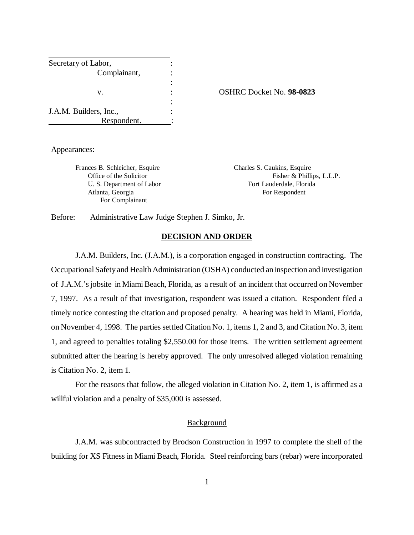| Secretary of Labor,    |  |
|------------------------|--|
| Complainant,           |  |
|                        |  |
| V.                     |  |
|                        |  |
| J.A.M. Builders, Inc., |  |
| Respondent.            |  |

v. : OSHRC Docket No. **98-0823**

Appearances:

Frances B. Schleicher, Esquire Charles S. Caukins, Esquire Atlanta, Georgia **For Respondent** For Respondent For Complainant

Office of the Solicitor Fisher & Phillips, L.L.P. U. S. Department of Labor Fort Lauderdale, Florida

Before: Administrative Law Judge Stephen J. Simko, Jr.

#### **DECISION AND ORDER**

 J.A.M. Builders, Inc. (J.A.M.), is a corporation engaged in construction contracting. The Occupational Safety and Health Administration (OSHA) conducted an inspection and investigation of J.A.M.'s jobsite in Miami Beach, Florida, as a result of an incident that occurred on November 7, 1997. As a result of that investigation, respondent was issued a citation. Respondent filed a timely notice contesting the citation and proposed penalty. A hearing was held in Miami, Florida, on November 4, 1998. The parties settled Citation No. 1, items 1, 2 and 3, and Citation No. 3, item 1, and agreed to penalties totaling \$2,550.00 for those items. The written settlement agreement submitted after the hearing is hereby approved. The only unresolved alleged violation remaining is Citation No. 2, item 1.

For the reasons that follow, the alleged violation in Citation No. 2, item 1, is affirmed as a willful violation and a penalty of \$35,000 is assessed.

### **Background**

J.A.M. was subcontracted by Brodson Construction in 1997 to complete the shell of the building for XS Fitness in Miami Beach, Florida. Steel reinforcing bars (rebar) were incorporated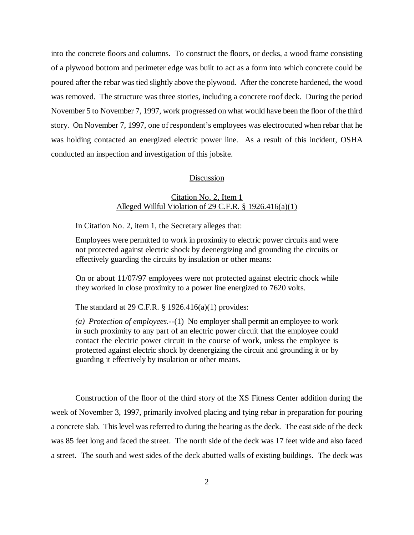into the concrete floors and columns. To construct the floors, or decks, a wood frame consisting of a plywood bottom and perimeter edge was built to act as a form into which concrete could be poured after the rebar was tied slightly above the plywood. After the concrete hardened, the wood was removed. The structure was three stories, including a concrete roof deck. During the period November 5 to November 7, 1997, work progressed on what would have been the floor of the third story. On November 7, 1997, one of respondent's employees was electrocuted when rebar that he was holding contacted an energized electric power line. As a result of this incident, OSHA conducted an inspection and investigation of this jobsite.

### Discussion

# Citation No. 2, Item 1 Alleged Willful Violation of 29 C.F.R. § 1926.416(a)(1)

In Citation No. 2, item 1, the Secretary alleges that:

Employees were permitted to work in proximity to electric power circuits and were not protected against electric shock by deenergizing and grounding the circuits or effectively guarding the circuits by insulation or other means:

On or about 11/07/97 employees were not protected against electric chock while they worked in close proximity to a power line energized to 7620 volts.

The standard at 29 C.F.R. § 1926.416(a)(1) provides:

*(a) Protection of employees.*--(1) No employer shall permit an employee to work in such proximity to any part of an electric power circuit that the employee could contact the electric power circuit in the course of work, unless the employee is protected against electric shock by deenergizing the circuit and grounding it or by guarding it effectively by insulation or other means.

Construction of the floor of the third story of the XS Fitness Center addition during the week of November 3, 1997, primarily involved placing and tying rebar in preparation for pouring a concrete slab. This level was referred to during the hearing as the deck. The east side of the deck was 85 feet long and faced the street. The north side of the deck was 17 feet wide and also faced a street. The south and west sides of the deck abutted walls of existing buildings. The deck was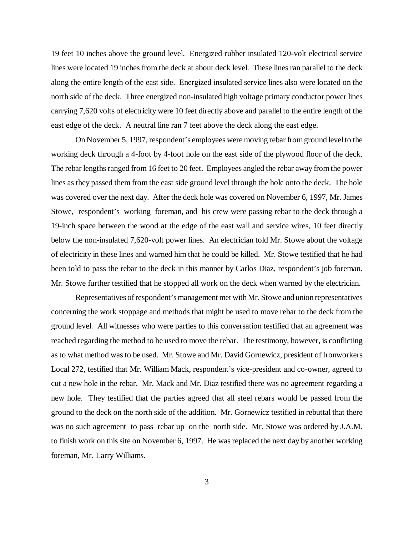19 feet 10 inches above the ground level. Energized rubber insulated 120-volt electrical service lines were located 19 inches from the deck at about deck level. These lines ran parallel to the deck along the entire length of the east side. Energized insulated service lines also were located on the north side of the deck. Three energized non-insulated high voltage primary conductor power lines carrying 7,620 volts of electricity were 10 feet directly above and parallel to the entire length of the east edge of the deck. A neutral line ran 7 feet above the deck along the east edge.

On November 5, 1997, respondent's employees were moving rebar from ground level to the working deck through a 4-foot by 4-foot hole on the east side of the plywood floor of the deck. The rebar lengths ranged from 16 feet to 20 feet. Employees angled the rebar away from the power lines as they passed them from the east side ground level through the hole onto the deck. The hole was covered over the next day. After the deck hole was covered on November 6, 1997, Mr. James Stowe, respondent's working foreman, and his crew were passing rebar to the deck through a 19-inch space between the wood at the edge of the east wall and service wires, 10 feet directly below the non-insulated 7,620-volt power lines. An electrician told Mr. Stowe about the voltage of electricity in these lines and warned him that he could be killed. Mr. Stowe testified that he had been told to pass the rebar to the deck in this manner by Carlos Diaz, respondent's job foreman. Mr. Stowe further testified that he stopped all work on the deck when warned by the electrician.

Representatives of respondent's management met with Mr. Stowe and union representatives concerning the work stoppage and methods that might be used to move rebar to the deck from the ground level. All witnesses who were parties to this conversation testified that an agreement was reached regarding the method to be used to move the rebar. The testimony, however, is conflicting as to what method was to be used. Mr. Stowe and Mr. David Gornewicz, president of Ironworkers Local 272, testified that Mr. William Mack, respondent's vice-president and co-owner, agreed to cut a new hole in the rebar. Mr. Mack and Mr. Diaz testified there was no agreement regarding a new hole. They testified that the parties agreed that all steel rebars would be passed from the ground to the deck on the north side of the addition. Mr. Gornewicz testified in rebuttal that there was no such agreement to pass rebar up on the north side. Mr. Stowe was ordered by J.A.M. to finish work on this site on November 6, 1997. He was replaced the next day by another working foreman, Mr. Larry Williams.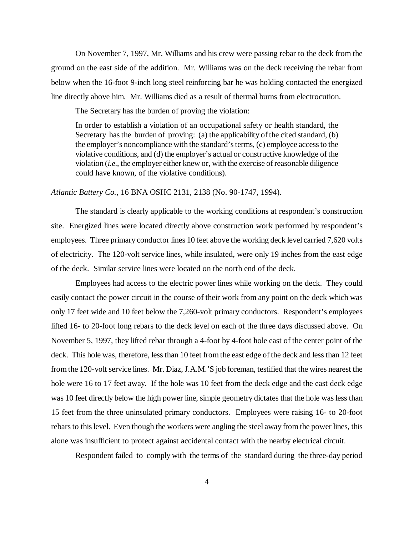On November 7, 1997, Mr. Williams and his crew were passing rebar to the deck from the ground on the east side of the addition. Mr. Williams was on the deck receiving the rebar from below when the 16-foot 9-inch long steel reinforcing bar he was holding contacted the energized line directly above him. Mr. Williams died as a result of thermal burns from electrocution.

The Secretary has the burden of proving the violation:

In order to establish a violation of an occupational safety or health standard, the Secretary has the burden of proving: (a) the applicability of the cited standard, (b) the employer's noncompliance with the standard's terms, (c) employee access to the violative conditions, and (d) the employer's actual or constructive knowledge of the violation (*i.e.*, the employer either knew or, with the exercise of reasonable diligence could have known, of the violative conditions).

*Atlantic Battery Co.*, 16 BNA OSHC 2131, 2138 (No. 90-1747, 1994).

The standard is clearly applicable to the working conditions at respondent's construction site. Energized lines were located directly above construction work performed by respondent's employees. Three primary conductor lines 10 feet above the working deck level carried 7,620 volts of electricity. The 120-volt service lines, while insulated, were only 19 inches from the east edge of the deck. Similar service lines were located on the north end of the deck.

Employees had access to the electric power lines while working on the deck. They could easily contact the power circuit in the course of their work from any point on the deck which was only 17 feet wide and 10 feet below the 7,260-volt primary conductors. Respondent's employees lifted 16- to 20-foot long rebars to the deck level on each of the three days discussed above. On November 5, 1997, they lifted rebar through a 4-foot by 4-foot hole east of the center point of the deck. This hole was, therefore, less than 10 feet from the east edge of the deck and less than 12 feet from the 120-volt service lines. Mr. Diaz, J.A.M.'S job foreman, testified that the wires nearest the hole were 16 to 17 feet away. If the hole was 10 feet from the deck edge and the east deck edge was 10 feet directly below the high power line, simple geometry dictates that the hole was less than 15 feet from the three uninsulated primary conductors. Employees were raising 16- to 20-foot rebars to this level. Even though the workers were angling the steel away from the power lines, this alone was insufficient to protect against accidental contact with the nearby electrical circuit.

Respondent failed to comply with the terms of the standard during the three-day period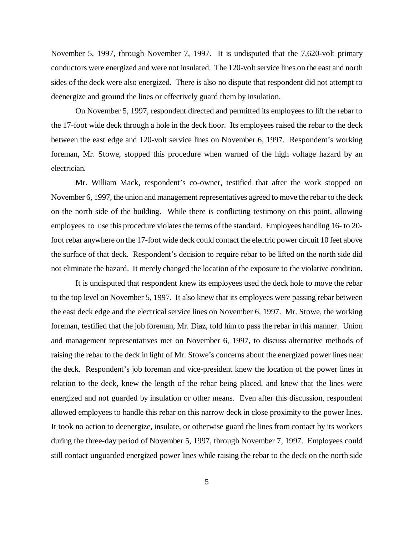November 5, 1997, through November 7, 1997. It is undisputed that the 7,620-volt primary conductors were energized and were not insulated. The 120-volt service lines on the east and north sides of the deck were also energized. There is also no dispute that respondent did not attempt to deenergize and ground the lines or effectively guard them by insulation.

On November 5, 1997, respondent directed and permitted its employees to lift the rebar to the 17-foot wide deck through a hole in the deck floor. Its employees raised the rebar to the deck between the east edge and 120-volt service lines on November 6, 1997. Respondent's working foreman, Mr. Stowe, stopped this procedure when warned of the high voltage hazard by an electrician.

Mr. William Mack, respondent's co-owner, testified that after the work stopped on November 6, 1997, the union and management representatives agreed to move the rebar to the deck on the north side of the building. While there is conflicting testimony on this point, allowing employees to use this procedure violates the terms of the standard. Employees handling 16- to 20 foot rebar anywhere on the 17-foot wide deck could contact the electric power circuit 10 feet above the surface of that deck. Respondent's decision to require rebar to be lifted on the north side did not eliminate the hazard. It merely changed the location of the exposure to the violative condition.

It is undisputed that respondent knew its employees used the deck hole to move the rebar to the top level on November 5, 1997. It also knew that its employees were passing rebar between the east deck edge and the electrical service lines on November 6, 1997. Mr. Stowe, the working foreman, testified that the job foreman, Mr. Diaz, told him to pass the rebar in this manner. Union and management representatives met on November 6, 1997, to discuss alternative methods of raising the rebar to the deck in light of Mr. Stowe's concerns about the energized power lines near the deck. Respondent's job foreman and vice-president knew the location of the power lines in relation to the deck, knew the length of the rebar being placed, and knew that the lines were energized and not guarded by insulation or other means. Even after this discussion, respondent allowed employees to handle this rebar on this narrow deck in close proximity to the power lines. It took no action to deenergize, insulate, or otherwise guard the lines from contact by its workers during the three-day period of November 5, 1997, through November 7, 1997. Employees could still contact unguarded energized power lines while raising the rebar to the deck on the north side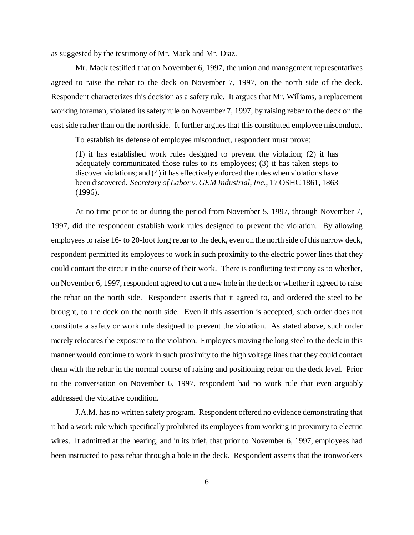as suggested by the testimony of Mr. Mack and Mr. Diaz.

Mr. Mack testified that on November 6, 1997, the union and management representatives agreed to raise the rebar to the deck on November 7, 1997, on the north side of the deck. Respondent characterizes this decision as a safety rule. It argues that Mr. Williams, a replacement working foreman, violated its safety rule on November 7, 1997, by raising rebar to the deck on the east side rather than on the north side. It further argues that this constituted employee misconduct.

To establish its defense of employee misconduct, respondent must prove:

(1) it has established work rules designed to prevent the violation; (2) it has adequately communicated those rules to its employees; (3) it has taken steps to discover violations; and (4) it has effectively enforced the rules when violations have been discovered. *Secretary of Labor v. GEM Industrial, Inc.*, 17 OSHC 1861, 1863 (1996).

At no time prior to or during the period from November 5, 1997, through November 7, 1997, did the respondent establish work rules designed to prevent the violation. By allowing employees to raise 16- to 20-foot long rebar to the deck, even on the north side of this narrow deck, respondent permitted its employees to work in such proximity to the electric power lines that they could contact the circuit in the course of their work. There is conflicting testimony as to whether, on November 6, 1997, respondent agreed to cut a new hole in the deck or whether it agreed to raise the rebar on the north side. Respondent asserts that it agreed to, and ordered the steel to be brought, to the deck on the north side. Even if this assertion is accepted, such order does not constitute a safety or work rule designed to prevent the violation. As stated above, such order merely relocates the exposure to the violation. Employees moving the long steel to the deck in this manner would continue to work in such proximity to the high voltage lines that they could contact them with the rebar in the normal course of raising and positioning rebar on the deck level. Prior to the conversation on November 6, 1997, respondent had no work rule that even arguably addressed the violative condition.

J.A.M. has no written safety program. Respondent offered no evidence demonstrating that it had a work rule which specifically prohibited its employees from working in proximity to electric wires. It admitted at the hearing, and in its brief, that prior to November 6, 1997, employees had been instructed to pass rebar through a hole in the deck. Respondent asserts that the ironworkers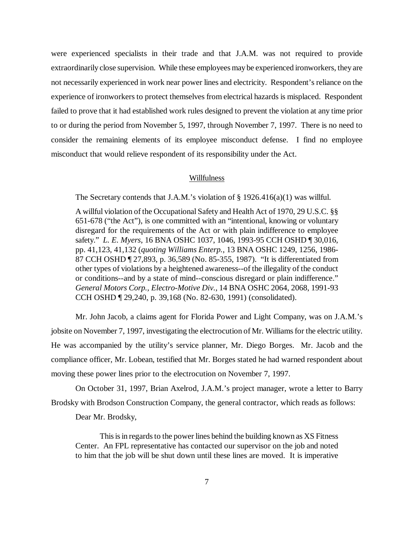were experienced specialists in their trade and that J.A.M. was not required to provide extraordinarily close supervision. While these employees may be experienced ironworkers, they are not necessarily experienced in work near power lines and electricity. Respondent's reliance on the experience of ironworkers to protect themselves from electrical hazards is misplaced. Respondent failed to prove that it had established work rules designed to prevent the violation at any time prior to or during the period from November 5, 1997, through November 7, 1997. There is no need to consider the remaining elements of its employee misconduct defense. I find no employee misconduct that would relieve respondent of its responsibility under the Act.

#### Willfulness

The Secretary contends that J.A.M.'s violation of § 1926.416(a)(1) was willful.

A willful violation of the Occupational Safety and Health Act of 1970, 29 U.S.C. §§ 651-678 ("the Act"), is one committed with an "intentional, knowing or voluntary disregard for the requirements of the Act or with plain indifference to employee safety." *L. E. Myers*, 16 BNA OSHC 1037, 1046, 1993-95 CCH OSHD ¶ 30,016, pp. 41,123, 41,132 (*quoting Williams Enterp.*, 13 BNA OSHC 1249, 1256, 1986- 87 CCH OSHD ¶ 27,893, p. 36,589 (No. 85-355, 1987). "It is differentiated from other types of violations by a heightened awareness--of the illegality of the conduct or conditions--and by a state of mind--conscious disregard or plain indifference." *General Motors Corp., Electro-Motive Div.,* 14 BNA OSHC 2064, 2068, 1991-93 CCH OSHD ¶ 29,240, p. 39,168 (No. 82-630, 1991) (consolidated).

Mr. John Jacob, a claims agent for Florida Power and Light Company, was on J.A.M.'s jobsite on November 7, 1997, investigating the electrocution of Mr. Williams for the electric utility. He was accompanied by the utility's service planner, Mr. Diego Borges. Mr. Jacob and the compliance officer, Mr. Lobean, testified that Mr. Borges stated he had warned respondent about moving these power lines prior to the electrocution on November 7, 1997.

On October 31, 1997, Brian Axelrod, J.A.M.'s project manager, wrote a letter to Barry Brodsky with Brodson Construction Company, the general contractor, which reads as follows:

Dear Mr. Brodsky,

This is in regards to the power lines behind the building known as XS Fitness Center. An FPL representative has contacted our supervisor on the job and noted to him that the job will be shut down until these lines are moved. It is imperative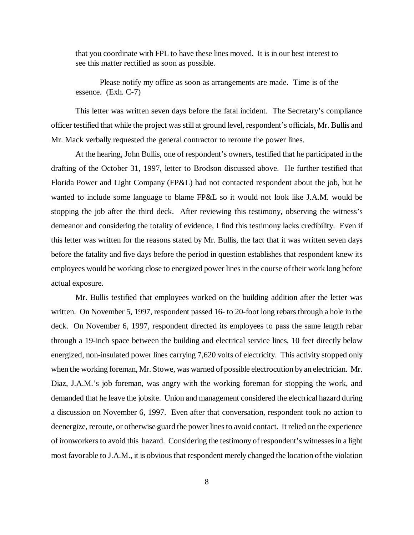that you coordinate with FPL to have these lines moved. It is in our best interest to see this matter rectified as soon as possible.

Please notify my office as soon as arrangements are made. Time is of the essence. (Exh. C-7)

This letter was written seven days before the fatal incident. The Secretary's compliance officer testified that while the project was still at ground level, respondent's officials, Mr. Bullis and Mr. Mack verbally requested the general contractor to reroute the power lines.

At the hearing, John Bullis, one of respondent's owners, testified that he participated in the drafting of the October 31, 1997, letter to Brodson discussed above. He further testified that Florida Power and Light Company (FP&L) had not contacted respondent about the job, but he wanted to include some language to blame FP&L so it would not look like J.A.M. would be stopping the job after the third deck. After reviewing this testimony, observing the witness's demeanor and considering the totality of evidence, I find this testimony lacks credibility. Even if this letter was written for the reasons stated by Mr. Bullis, the fact that it was written seven days before the fatality and five days before the period in question establishes that respondent knew its employees would be working close to energized power lines in the course of their work long before actual exposure.

Mr. Bullis testified that employees worked on the building addition after the letter was written. On November 5, 1997, respondent passed 16- to 20-foot long rebars through a hole in the deck. On November 6, 1997, respondent directed its employees to pass the same length rebar through a 19-inch space between the building and electrical service lines, 10 feet directly below energized, non-insulated power lines carrying 7,620 volts of electricity. This activity stopped only when the working foreman, Mr. Stowe, was warned of possible electrocution by an electrician. Mr. Diaz, J.A.M.'s job foreman, was angry with the working foreman for stopping the work, and demanded that he leave the jobsite. Union and management considered the electrical hazard during a discussion on November 6, 1997. Even after that conversation, respondent took no action to deenergize, reroute, or otherwise guard the power lines to avoid contact. It relied on the experience of ironworkers to avoid this hazard. Considering the testimony of respondent's witnesses in a light most favorable to J.A.M., it is obvious that respondent merely changed the location of the violation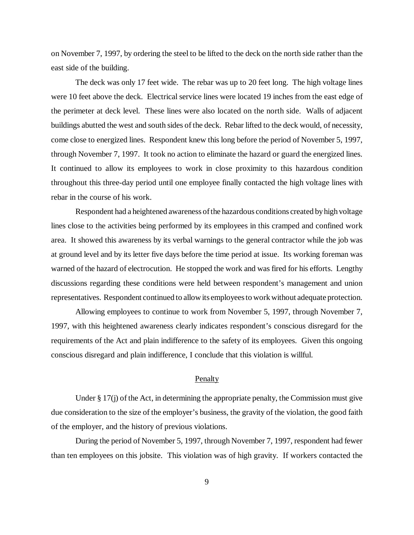on November 7, 1997, by ordering the steel to be lifted to the deck on the north side rather than the east side of the building.

The deck was only 17 feet wide. The rebar was up to 20 feet long. The high voltage lines were 10 feet above the deck. Electrical service lines were located 19 inches from the east edge of the perimeter at deck level. These lines were also located on the north side. Walls of adjacent buildings abutted the west and south sides of the deck. Rebar lifted to the deck would, of necessity, come close to energized lines. Respondent knew this long before the period of November 5, 1997, through November 7, 1997. It took no action to eliminate the hazard or guard the energized lines. It continued to allow its employees to work in close proximity to this hazardous condition throughout this three-day period until one employee finally contacted the high voltage lines with rebar in the course of his work.

Respondent had a heightened awareness of the hazardous conditions created by high voltage lines close to the activities being performed by its employees in this cramped and confined work area. It showed this awareness by its verbal warnings to the general contractor while the job was at ground level and by its letter five days before the time period at issue. Its working foreman was warned of the hazard of electrocution. He stopped the work and was fired for his efforts. Lengthy discussions regarding these conditions were held between respondent's management and union representatives. Respondent continued to allow its employees to work without adequate protection.

Allowing employees to continue to work from November 5, 1997, through November 7, 1997, with this heightened awareness clearly indicates respondent's conscious disregard for the requirements of the Act and plain indifference to the safety of its employees. Given this ongoing conscious disregard and plain indifference, I conclude that this violation is willful.

### Penalty

Under § 17(j) of the Act, in determining the appropriate penalty, the Commission must give due consideration to the size of the employer's business, the gravity of the violation, the good faith of the employer, and the history of previous violations.

During the period of November 5, 1997, through November 7, 1997, respondent had fewer than ten employees on this jobsite. This violation was of high gravity. If workers contacted the